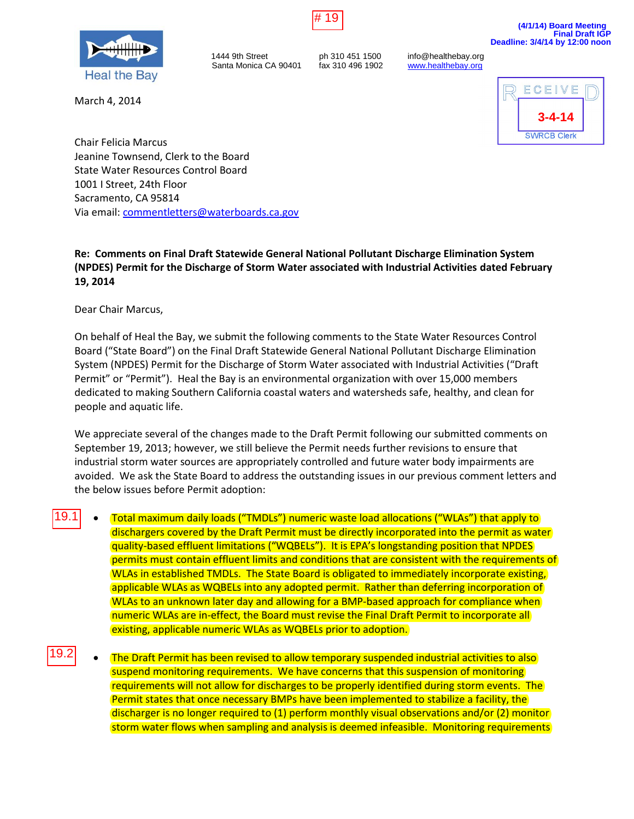

March 4, 2014

1444 9th Street ph 310 451 1500 info@healthebay.org<br>Santa Monica CA 90401 fax 310 496 1902 www.healthebay.org Santa Monica CA 90401



Chair Felicia Marcus Jeanine Townsend, Clerk to the Board State Water Resources Control Board 1001 I Street, 24th Floor Sacramento, CA 95814 Via email[: commentletters@waterboards.ca.gov](mailto:commentletters@waterboards.ca.gov)

## **Re: Comments on Final Draft Statewide General National Pollutant Discharge Elimination System (NPDES) Permit for the Discharge of Storm Water associated with Industrial Activities dated February 19, 2014**

Dear Chair Marcus,

On behalf of Heal the Bay, we submit the following comments to the State Water Resources Control Board ("State Board") on the Final Draft Statewide General National Pollutant Discharge Elimination System (NPDES) Permit for the Discharge of Storm Water associated with Industrial Activities ("Draft Permit" or "Permit"). Heal the Bay is an environmental organization with over 15,000 members dedicated to making Southern California coastal waters and watersheds safe, healthy, and clean for people and aquatic life.

We appreciate several of the changes made to the Draft Permit following our submitted comments on September 19, 2013; however, we still believe the Permit needs further revisions to ensure that industrial storm water sources are appropriately controlled and future water body impairments are avoided. We ask the State Board to address the outstanding issues in our previous comment letters and the below issues before Permit adoption:

- Total maximum daily loads ("TMDLs") numeric waste load allocations ("WLAs") that apply to dischargers covered by the Draft Permit must be directly incorporated into the permit as water quality-based effluent limitations ("WQBELs"). It is EPA's longstanding position that NPDES permits must contain effluent limits and conditions that are consistent with the requirements of WLAs in established TMDLs. The State Board is obligated to immediately incorporate existing, applicable WLAs as WQBELs into any adopted permit. Rather than deferring incorporation of WLAs to an unknown later day and allowing for a BMP-based approach for compliance when numeric WLAs are in-effect, the Board must revise the Final Draft Permit to incorporate all existing, applicable numeric WLAs as WQBELs prior to adoption. 19.1
- The Draft Permit has been revised to allow temporary suspended industrial activities to also suspend monitoring requirements. We have concerns that this suspension of monitoring requirements will not allow for discharges to be properly identified during storm events. The Permit states that once necessary BMPs have been implemented to stabilize a facility, the discharger is no longer required to (1) perform monthly visual observations and/or (2) monitor storm water flows when sampling and analysis is deemed infeasible. Monitoring requirements 19.2